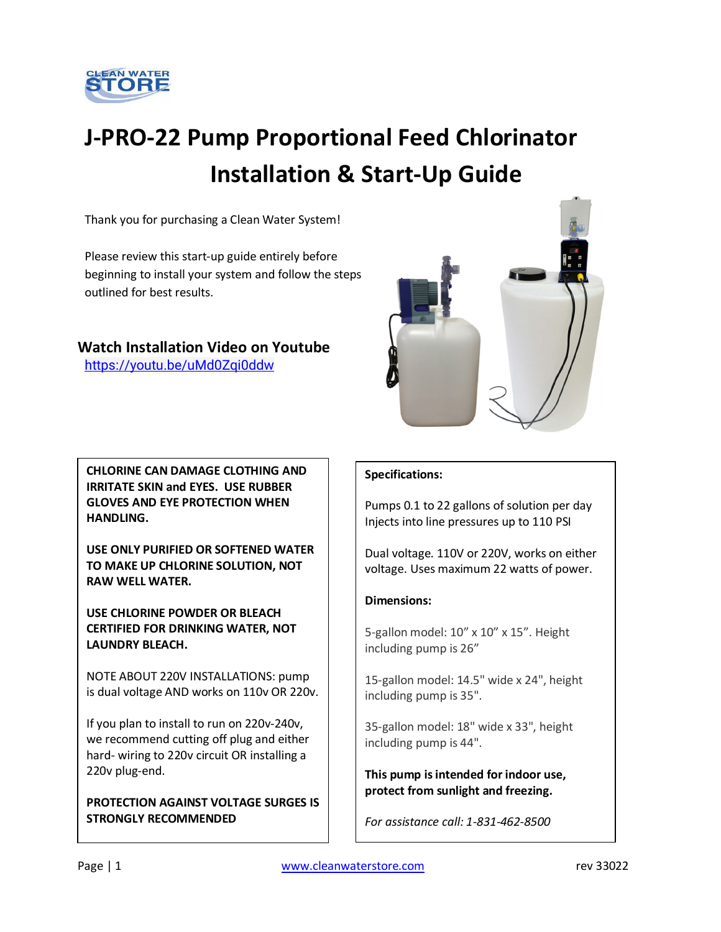

# **J-PRO-22 Pump Proportional Feed Chlorinator Installation & Start-Up Guide**

Thank you for purchasing a Clean Water System!

Please review this start-up guide entirely before beginning to install your system and follow the steps outlined for best results.

### **Watch Installation Video on Youtube**

<https://youtu.be/uMd0Zqi0ddw>



**CHLORINE CAN DAMAGE CLOTHING AND IRRITATE SKIN and EYES. USE RUBBER GLOVES AND EYE PROTECTION WHEN HANDLING.**

**USE ONLY PURIFIED OR SOFTENED WATER TO MAKE UP CHLORINE SOLUTION, NOT RAW WELL WATER.** 

**USE CHLORINE POWDER OR BLEACH CERTIFIED FOR DRINKING WATER, NOT LAUNDRY BLEACH.**

NOTE ABOUT 220V INSTALLATIONS: pump is dual voltage AND works on 110v OR 220v.

If you plan to install to run on 220v-240v, we recommend cutting off plug and either hard- wiring to 220v circuit OR installing a 220v plug-end.

**PROTECTION AGAINST VOLTAGE SURGES IS STRONGLY RECOMMENDED**

### **Specifications:**

Pumps 0.1 to 22 gallons of solution per day Injects into line pressures up to 110 PSI

Dual voltage. 110V or 220V, works on either voltage. Uses maximum 22 watts of power.

### **Dimensions:**

5-gallon model: 10" x 10" x 15". Height including pump is 26"

15-gallon model: 14.5" wide x 24", height including pump is 35".

35-gallon model: 18" wide x 33", height including pump is 44".

**This pump is intended for indoor use, protect from sunlight and freezing.**

*For assistance call: 1-831-462-8500*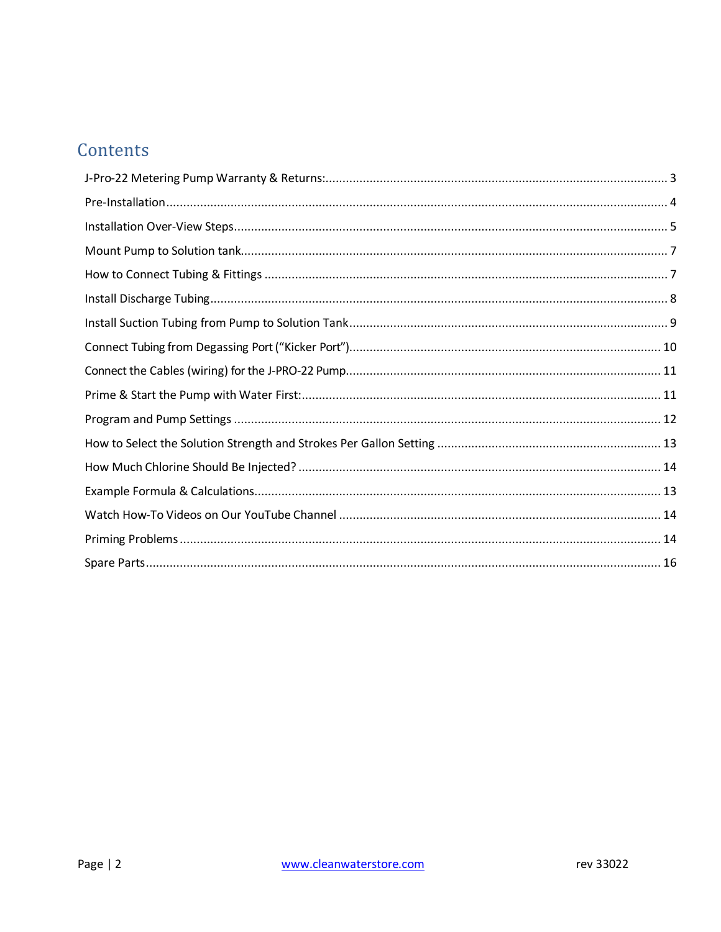# Contents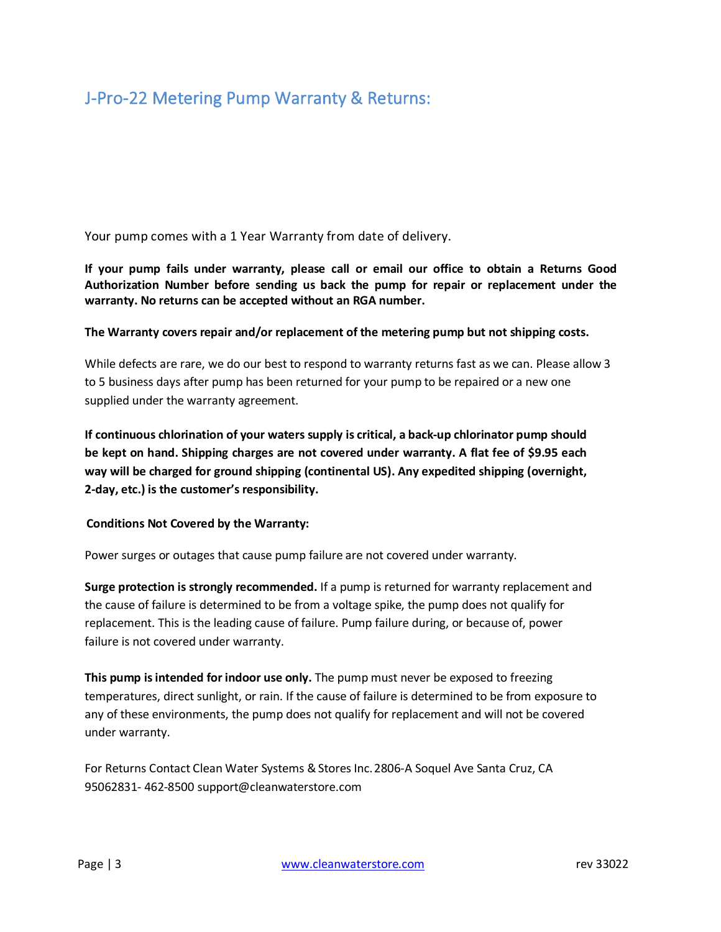# J-Pro-22 Metering Pump Warranty & Returns:

Your pump comes with a 1 Year Warranty from date of delivery.

**If your pump fails under warranty, please call or email our office to obtain a Returns Good Authorization Number before sending us back the pump for repair or replacement under the warranty. No returns can be accepted without an RGA number.**

#### **The Warranty covers repair and/or replacement of the metering pump but not shipping costs.**

While defects are rare, we do our best to respond to warranty returns fast as we can. Please allow 3 to 5 business days after pump has been returned for your pump to be repaired or a new one supplied under the warranty agreement.

**If continuous chlorination of your waters supply is critical, a back-up chlorinator pump should be kept on hand. Shipping charges are not covered under warranty. A flat fee of \$9.95 each way will be charged for ground shipping (continental US). Any expedited shipping (overnight, 2-day, etc.) is the customer's responsibility.**

#### **Conditions Not Covered by the Warranty:**

Power surges or outages that cause pump failure are not covered under warranty.

**Surge protection is strongly recommended.** If a pump is returned for warranty replacement and the cause of failure is determined to be from a voltage spike, the pump does not qualify for replacement. This is the leading cause of failure. Pump failure during, or because of, power failure is not covered under warranty.

**This pump is intended for indoor use only.** The pump must never be exposed to freezing temperatures, direct sunlight, or rain. If the cause of failure is determined to be from exposure to any of these environments, the pump does not qualify for replacement and will not be covered under warranty.

For Returns Contact Clean Water Systems & Stores Inc. 2806-A Soquel Ave Santa Cruz, CA 95062831- 462-850[0 support@cleanwaterstore.com](mailto:support@cleanwaterstore.com)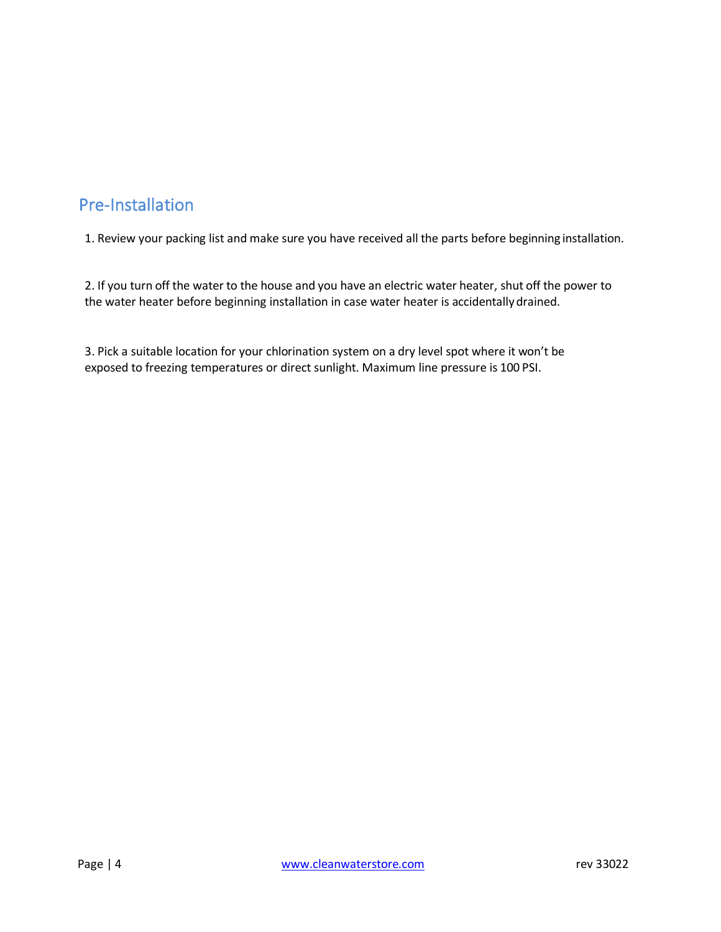# <span id="page-3-0"></span>Pre-Installation

1. Review your packing list and make sure you have received all the parts before beginning installation.

2. If you turn off the water to the house and you have an electric water heater, shut off the power to the water heater before beginning installation in case water heater is accidentallydrained.

3. Pick a suitable location for your chlorination system on a dry level spot where it won't be exposed to freezing temperatures or direct sunlight. Maximum line pressure is 100 PSI.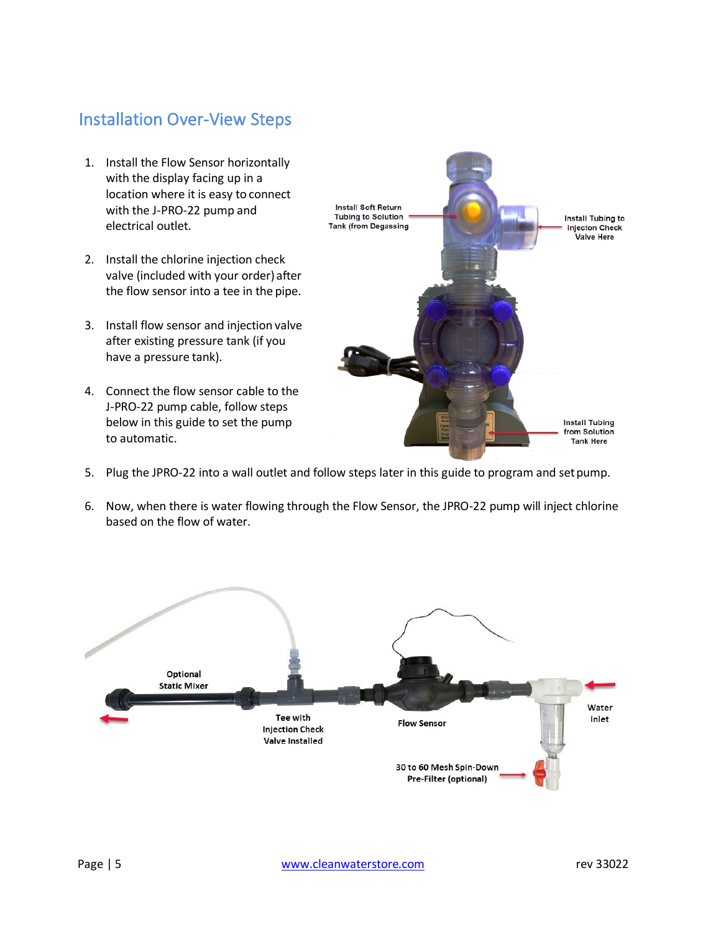### <span id="page-4-0"></span>Installation Over-View Steps

- 1. Install the Flow Sensor horizontally with the display facing up in a location where it is easy to connect with the J-PRO-22 pump and electrical outlet.
- 2. Install the chlorine injection check valve (included with your order)after the flow sensor into a tee in the pipe.
- 3. Install flow sensor and injection valve after existing pressure tank (if you have a pressure tank).
- 4. Connect the flow sensor cable to the J-PRO-22 pump cable, follow steps below in this guide to set the pump to automatic.



- 5. Plug the JPRO-22 into a wall outlet and follow steps later in this guide to program and setpump.
- 6. Now, when there is water flowing through the Flow Sensor, the JPRO-22 pump will inject chlorine based on the flow of water.

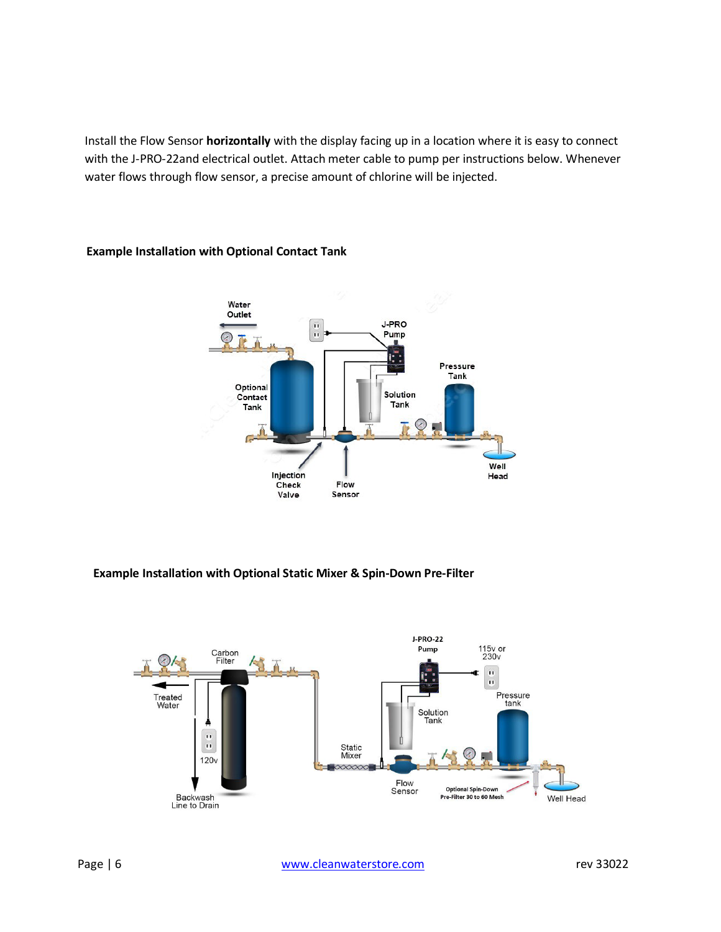Install the Flow Sensor **horizontally** with the display facing up in a location where it is easy to connect with the J-PRO-22and electrical outlet. Attach meter cable to pump per instructions below. Whenever water flows through flow sensor, a precise amount of chlorine will be injected.



### **Example Installation with Optional Contact Tank**

#### **Example Installation with Optional Static Mixer & Spin-Down Pre-Filter**

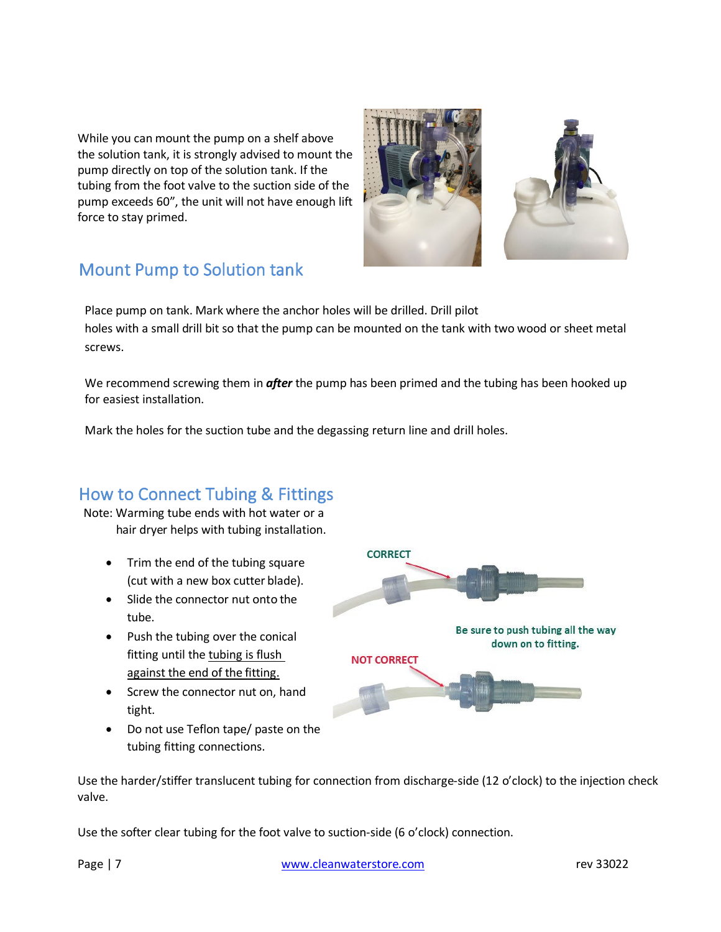While you can mount the pump on a shelf above the solution tank, it is strongly advised to mount the pump directly on top of the solution tank. If the tubing from the foot valve to the suction side of the pump exceeds 60", the unit will not have enough lift force to stay primed.



# <span id="page-6-0"></span>Mount Pump to Solution tank

Place pump on tank. Mark where the anchor holes will be drilled. Drill pilot holes with a small drill bit so that the pump can be mounted on the tank with two wood or sheet metal screws.

We recommend screwing them in *after* the pump has been primed and the tubing has been hooked up for easiest installation.

Mark the holes for the suction tube and the degassing return line and drill holes.

### <span id="page-6-1"></span>How to Connect Tubing & Fittings

Note: Warming tube ends with hot water or a hair dryer helps with tubing installation.

- Trim the end of the tubing square (cut with a new box cutter blade).
- Slide the connector nut onto the tube.
- Push the tubing over the conical fitting until the tubing is flush against the end of the fitting.
- Screw the connector nut on, hand tight.
- Do not use Teflon tape/ paste on the tubing fitting connections.



Use the harder/stiffer translucent tubing for connection from discharge-side (12 o'clock) to the injection check valve.

Use the softer clear tubing for the foot valve to suction-side (6 o'clock) connection.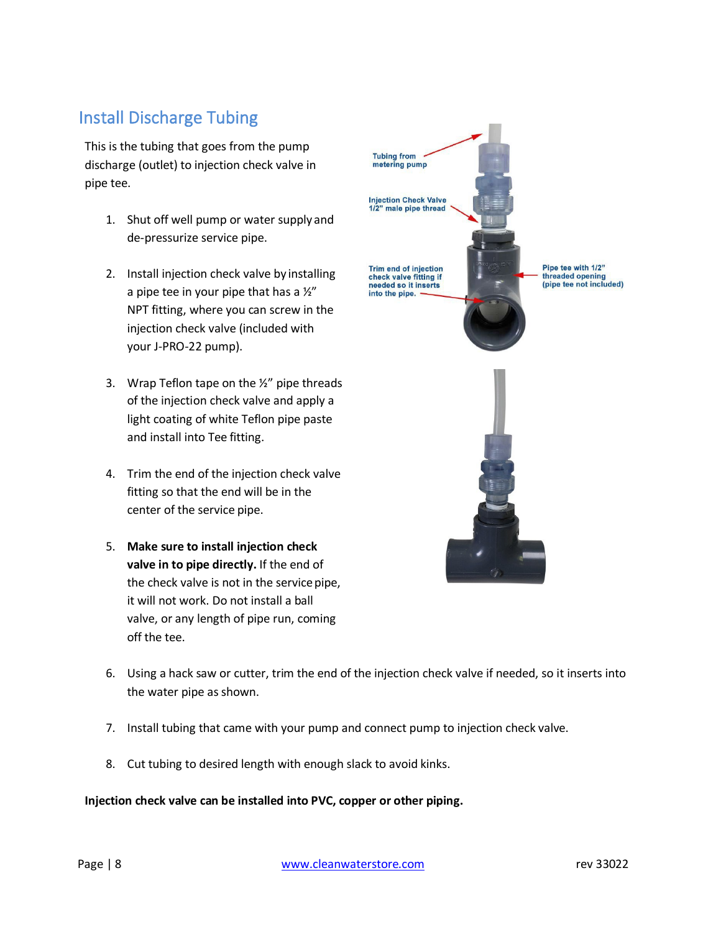# <span id="page-7-0"></span>Install Discharge Tubing

This is the tubing that goes from the pump discharge (outlet) to injection check valve in pipe tee.

- 1. Shut off well pump or water supply and de-pressurize service pipe.
- 2. Install injection check valve by installing a pipe tee in your pipe that has a  $\frac{1}{2}$ " NPT fitting, where you can screw in the injection check valve (included with your J-PRO-22 pump).
- 3. Wrap Teflon tape on the  $\frac{1}{2}$ " pipe threads of the injection check valve and apply a light coating of white Teflon pipe paste and install into Tee fitting.
- 4. Trim the end of the injection check valve fitting so that the end will be in the center of the service pipe.
- 5. **Make sure to install injection check valve in to pipe directly.** If the end of the check valve is not in the service pipe, it will not work. Do not install a ball valve, or any length of pipe run, coming off the tee.



- 6. Using a hack saw or cutter, trim the end of the injection check valve if needed, so it inserts into the water pipe as shown.
- 7. Install tubing that came with your pump and connect pump to injection check valve.
- 8. Cut tubing to desired length with enough slack to avoid kinks.

#### **Injection check valve can be installed into PVC, copper or other piping.**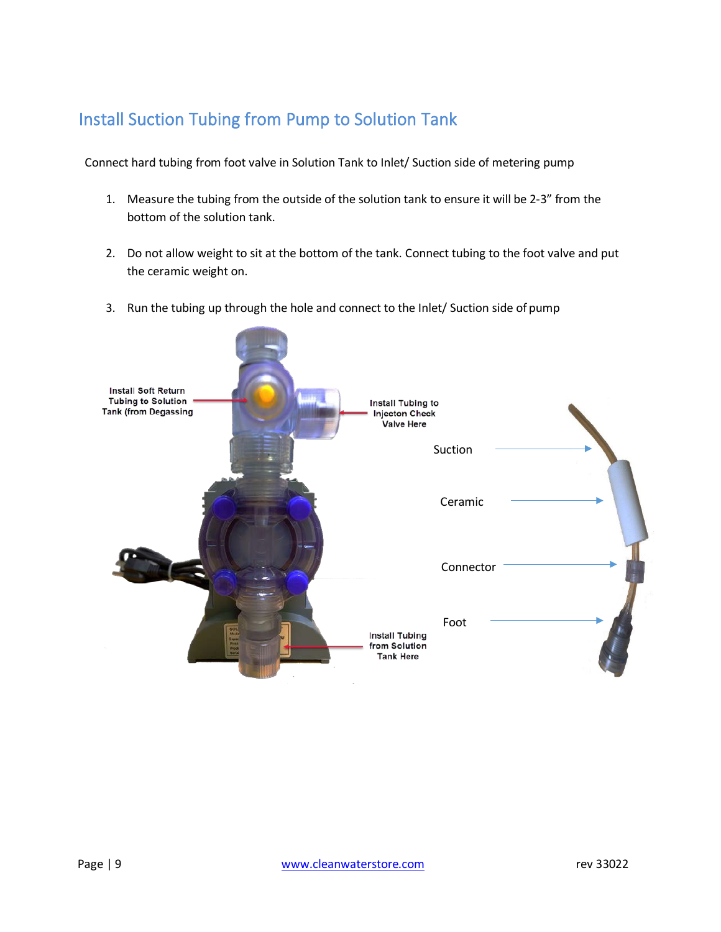## <span id="page-8-0"></span>Install Suction Tubing from Pump to Solution Tank

Connect hard tubing from foot valve in Solution Tank to Inlet/ Suction side of metering pump

- 1. Measure the tubing from the outside of the solution tank to ensure it will be 2-3" from the bottom of the solution tank.
- 2. Do not allow weight to sit at the bottom of the tank. Connect tubing to the foot valve and put the ceramic weight on.
- 3. Run the tubing up through the hole and connect to the Inlet/ Suction side of pump

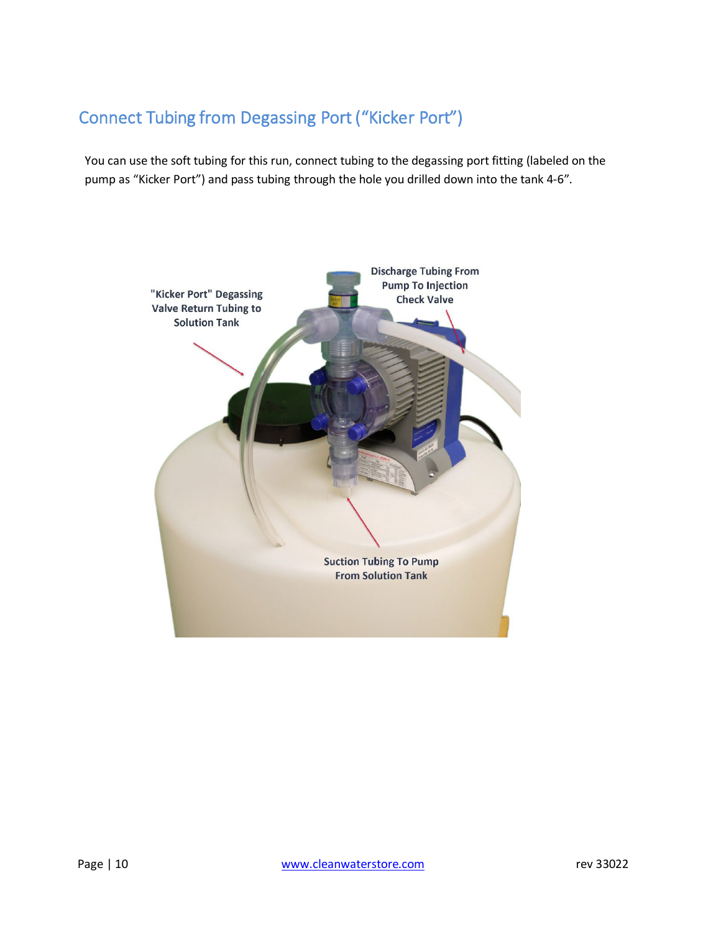# <span id="page-9-0"></span>Connect Tubing from Degassing Port ("Kicker Port")

You can use the soft tubing for this run, connect tubing to the degassing port fitting (labeled on the pump as "Kicker Port") and pass tubing through the hole you drilled down into the tank 4-6".

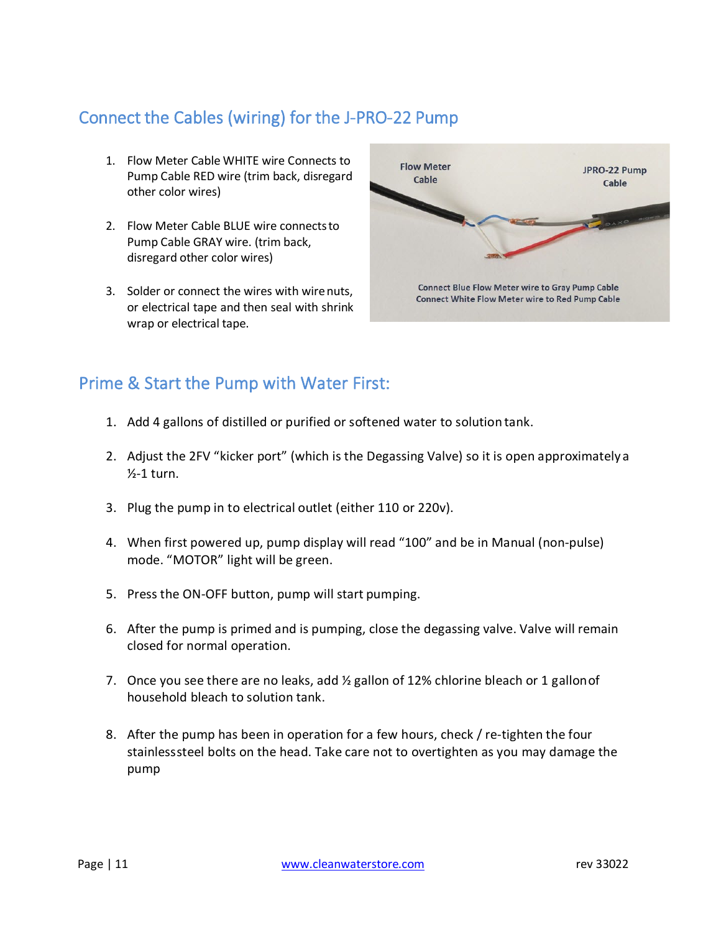# <span id="page-10-0"></span>Connect the Cables (wiring) for the J-PRO-22 Pump

- 1. Flow Meter Cable WHITE wire Connects to Pump Cable RED wire (trim back, disregard other color wires)
- 2. Flow Meter Cable BLUE wire connectsto Pump Cable GRAY wire. (trim back, disregard other color wires)
- 3. Solder or connect the wires with wirenuts, or electrical tape and then seal with shrink wrap or electrical tape.



### <span id="page-10-1"></span>Prime & Start the Pump with Water First:

- 1. Add 4 gallons of distilled or purified or softened water to solution tank.
- 2. Adjust the 2FV "kicker port" (which is the Degassing Valve) so it is open approximately a  $\frac{1}{2}$ -1 turn.
- 3. Plug the pump in to electrical outlet (either 110 or 220v).
- 4. When first powered up, pump display will read "100" and be in Manual (non-pulse) mode. "MOTOR" light will be green.
- 5. Press the ON-OFF button, pump will start pumping.
- 6. After the pump is primed and is pumping, close the degassing valve. Valve will remain closed for normal operation.
- 7. Once you see there are no leaks, add  $\frac{1}{2}$  gallon of 12% chlorine bleach or 1 gallon of household bleach to solution tank.
- 8. After the pump has been in operation for a few hours, check / re-tighten the four stainlesssteel bolts on the head. Take care not to overtighten as you may damage the pump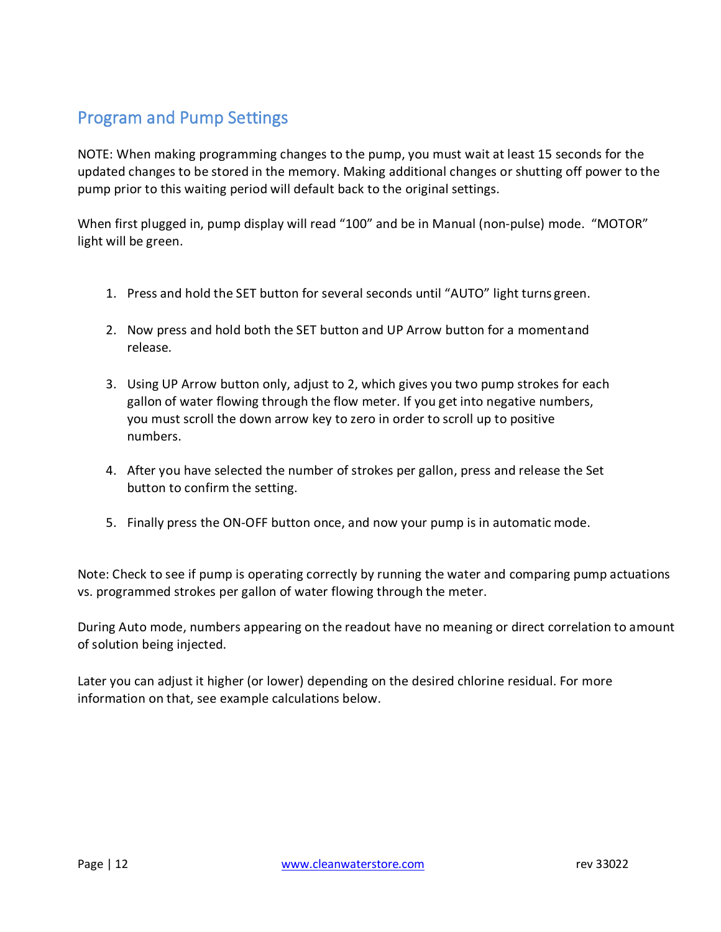# <span id="page-11-0"></span>Program and Pump Settings

NOTE: When making programming changes to the pump, you must wait at least 15 seconds for the updated changes to be stored in the memory. Making additional changes or shutting off power to the pump prior to this waiting period will default back to the original settings.

When first plugged in, pump display will read "100" and be in Manual (non-pulse) mode. "MOTOR" light will be green.

- 1. Press and hold the SET button for several seconds until "AUTO" light turns green.
- 2. Now press and hold both the SET button and UP Arrow button for a momentand release.
- 3. Using UP Arrow button only, adjust to 2, which gives you two pump strokes for each gallon of water flowing through the flow meter. If you get into negative numbers, you must scroll the down arrow key to zero in order to scroll up to positive numbers.
- 4. After you have selected the number of strokes per gallon, press and release the Set button to confirm the setting.
- 5. Finally press the ON-OFF button once, and now your pump is in automatic mode.

Note: Check to see if pump is operating correctly by running the water and comparing pump actuations vs. programmed strokes per gallon of water flowing through the meter.

During Auto mode, numbers appearing on the readout have no meaning or direct correlation to amount of solution being injected.

Later you can adjust it higher (or lower) depending on the desired chlorine residual. For more information on that, see example calculations below.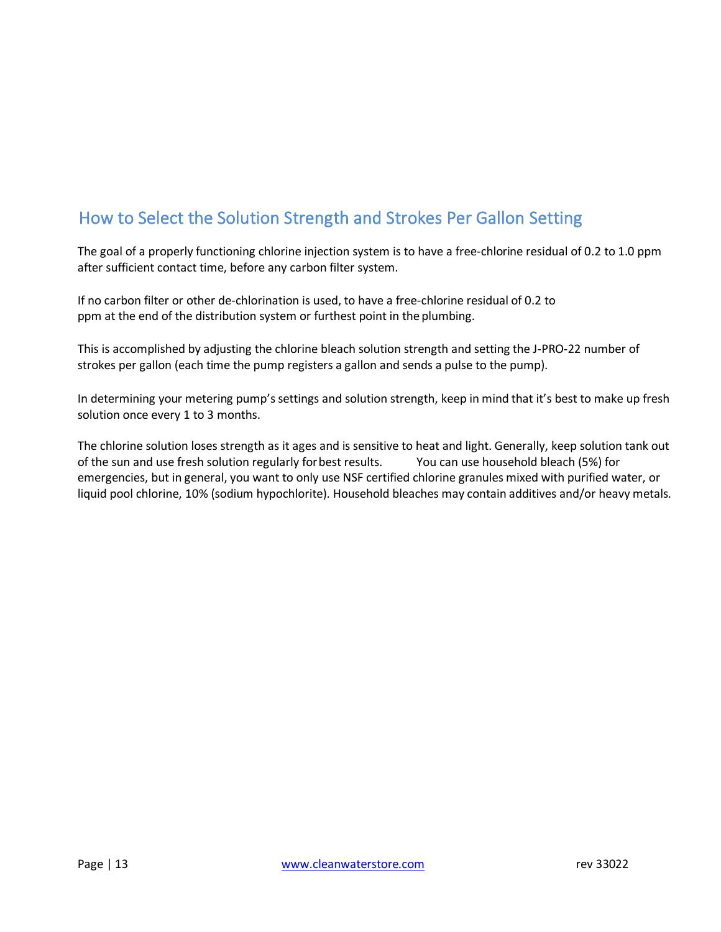# <span id="page-12-0"></span>How to Select the Solution Strength and Strokes Per Gallon Setting

The goal of a properly functioning chlorine injection system is to have a free-chlorine residual of 0.2 to 1.0 ppm after sufficient contact time, before any carbon filter system.

If no carbon filter or other de-chlorination is used, to have a free-chlorine residual of 0.2 to ppm at the end of the distribution system or furthest point in the plumbing.

This is accomplished by adjusting the chlorine bleach solution strength and setting the J-PRO-22 number of strokes per gallon (each time the pump registers a gallon and sends a pulse to the pump).

In determining your metering pump's settings and solution strength, keep in mind that it's best to make up fresh solution once every 1 to 3 months.

The chlorine solution loses strength as it ages and is sensitive to heat and light. Generally, keep solution tank out of the sun and use fresh solution regularly forbest results. You can use household bleach (5%) for emergencies, but in general, you want to only use NSF certified chlorine granules mixed with purified water, or liquid pool chlorine, 10% (sodium hypochlorite). Household bleaches may contain additives and/or heavy metals.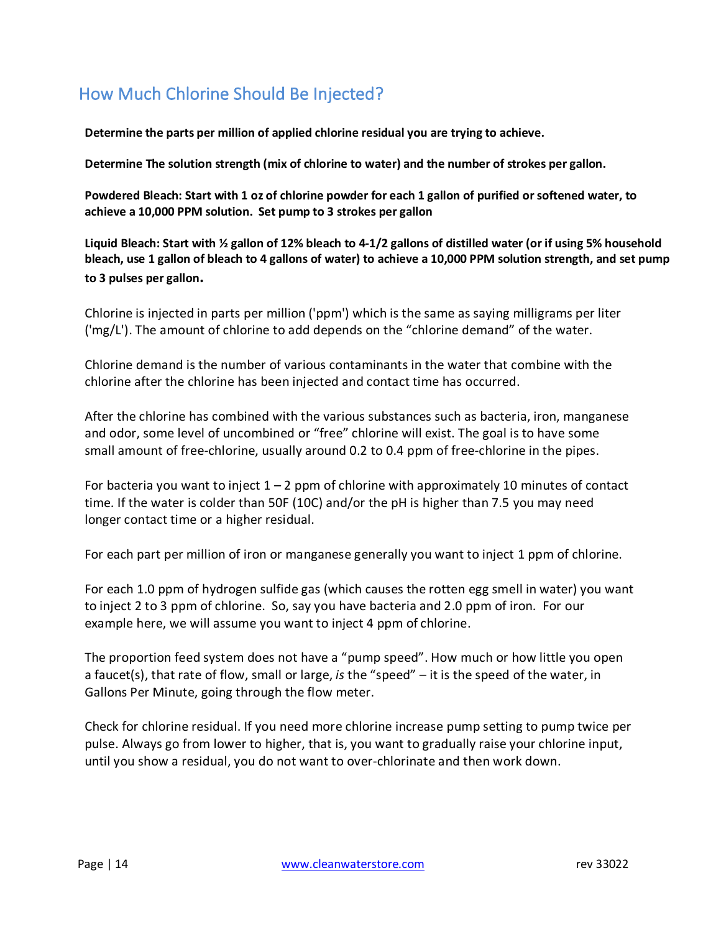# <span id="page-13-0"></span>How Much Chlorine Should Be Injected?

**Determine the parts per million of applied chlorine residual you are trying to achieve.**

**Determine The solution strength (mix of chlorine to water) and the number of strokes per gallon.**

**Powdered Bleach: Start with 1 oz of chlorine powder for each 1 gallon of purified or softened water, to achieve a 10,000 PPM solution. Set pump to 3 strokes per gallon** 

**Liquid Bleach: Start with ½ gallon of 12% bleach to 4-1/2 gallons of distilled water (or if using 5% household bleach, use 1 gallon of bleach to 4 gallons of water) to achieve a 10,000 PPM solution strength, and set pump to 3 pulses per gallon.**

Chlorine is injected in parts per million ('ppm') which is the same as saying milligrams per liter ('mg/L'). The amount of chlorine to add depends on the "chlorine demand" of the water.

Chlorine demand is the number of various contaminants in the water that combine with the chlorine after the chlorine has been injected and contact time has occurred.

After the chlorine has combined with the various substances such as bacteria, iron, manganese and odor, some level of uncombined or "free" chlorine will exist. The goal is to have some small amount of free-chlorine, usually around 0.2 to 0.4 ppm of free-chlorine in the pipes.

For bacteria you want to inject  $1 - 2$  ppm of chlorine with approximately 10 minutes of contact time. If the water is colder than 50F (10C) and/or the pH is higher than 7.5 you may need longer contact time or a higher residual.

For each part per million of iron or manganese generally you want to inject 1 ppm of chlorine.

For each 1.0 ppm of hydrogen sulfide gas (which causes the rotten egg smell in water) you want to inject 2 to 3 ppm of chlorine. So, say you have bacteria and 2.0 ppm of iron. For our example here, we will assume you want to inject 4 ppm of chlorine.

The proportion feed system does not have a "pump speed". How much or how little you open a faucet(s), that rate of flow, small or large, *is* the "speed" – it is the speed of the water, in Gallons Per Minute, going through the flow meter.

Check for chlorine residual. If you need more chlorine increase pump setting to pump twice per pulse. Always go from lower to higher, that is, you want to gradually raise your chlorine input, until you show a residual, you do not want to over-chlorinate and then work down.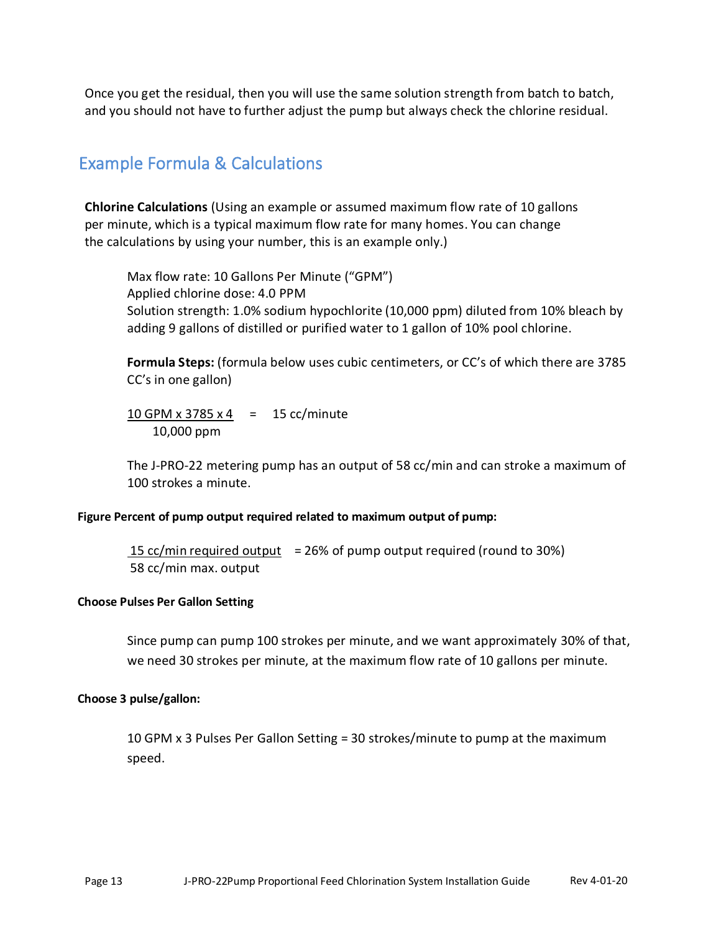Once you get the residual, then you will use the same solution strength from batch to batch, and you should not have to further adjust the pump but always check the chlorine residual.

### <span id="page-14-0"></span>Example Formula & Calculations

**Chlorine Calculations** (Using an example or assumed maximum flow rate of 10 gallons per minute, which is a typical maximum flow rate for many homes. You can change the calculations by using your number, this is an example only.)

Max flow rate: 10 Gallons Per Minute ("GPM") Applied chlorine dose: 4.0 PPM Solution strength: 1.0% sodium hypochlorite (10,000 ppm) diluted from 10% bleach by adding 9 gallons of distilled or purified water to 1 gallon of 10% pool chlorine.

**Formula Steps:** (formula below uses cubic centimeters, or CC's of which there are 3785 CC's in one gallon)

 $10$  GPM x 3785 x 4 = 15 cc/minute 10,000 ppm

The J-PRO-22 metering pump has an output of 58 cc/min and can stroke a maximum of 100 strokes a minute.

#### **Figure Percent of pump output required related to maximum output of pump:**

15  $cc/min$  required output = 26% of pump output required (round to 30%) 58 cc/min max. output

#### **Choose Pulses Per Gallon Setting**

Since pump can pump 100 strokes per minute, and we want approximately 30% of that, we need 30 strokes per minute, at the maximum flow rate of 10 gallons per minute.

#### **Choose 3 pulse/gallon:**

10 GPM x 3 Pulses Per Gallon Setting = 30 strokes/minute to pump at the maximum speed.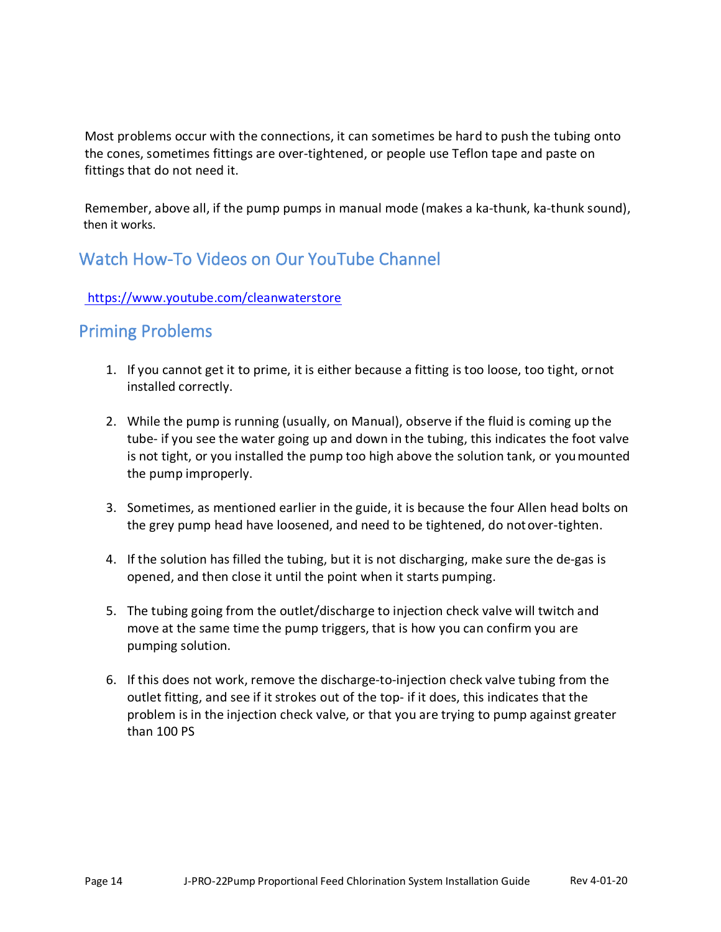Most problems occur with the connections, it can sometimes be hard to push the tubing onto the cones, sometimes fittings are over-tightened, or people use Teflon tape and paste on fittings that do not need it.

Remember, above all, if the pump pumps in manual mode (makes a ka-thunk, ka-thunk sound), then it works.

### <span id="page-15-0"></span>Watch How-To Videos on Our YouTube Channel

### https:/[/www.youtube.com/cleanwaterstore](http://www.youtube.com/cleanwaterstore)

### <span id="page-15-1"></span>Priming Problems

- 1. If you cannot get it to prime, it is either because a fitting is too loose, too tight, ornot installed correctly.
- 2. While the pump is running (usually, on Manual), observe if the fluid is coming up the tube- if you see the water going up and down in the tubing, this indicates the foot valve is not tight, or you installed the pump too high above the solution tank, or youmounted the pump improperly.
- 3. Sometimes, as mentioned earlier in the guide, it is because the four Allen head bolts on the grey pump head have loosened, and need to be tightened, do notover-tighten.
- 4. If the solution has filled the tubing, but it is not discharging, make sure the de-gas is opened, and then close it until the point when it starts pumping.
- 5. The tubing going from the outlet/discharge to injection check valve will twitch and move at the same time the pump triggers, that is how you can confirm you are pumping solution.
- 6. If this does not work, remove the discharge-to-injection check valve tubing from the outlet fitting, and see if it strokes out of the top- if it does, this indicates that the problem is in the injection check valve, or that you are trying to pump against greater than 100 PS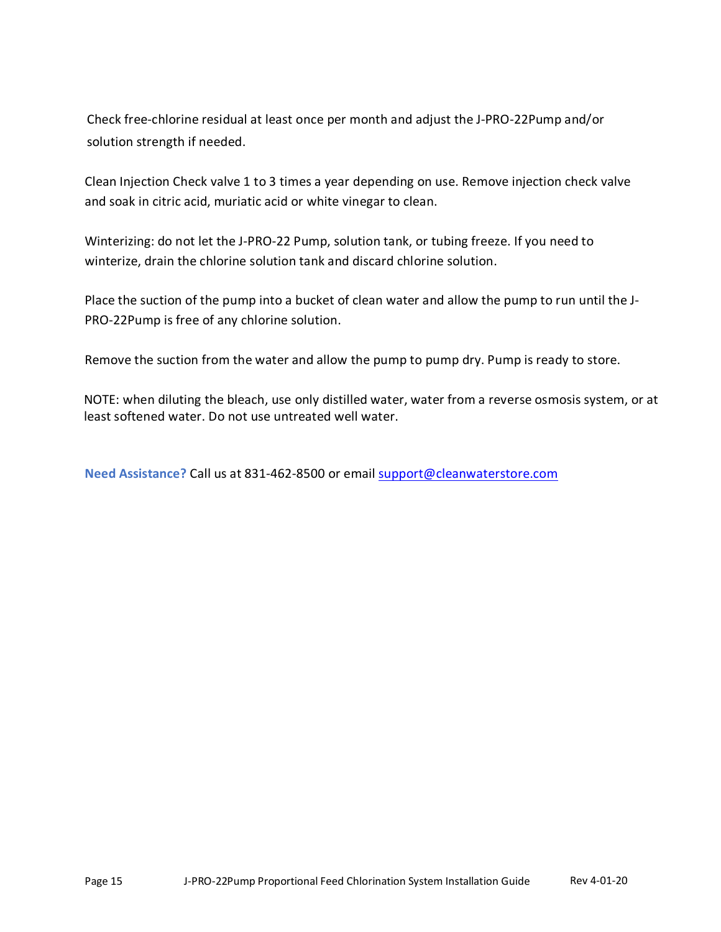Check free-chlorine residual at least once per month and adjust the J-PRO-22Pump and/or solution strength if needed.

Clean Injection Check valve 1 to 3 times a year depending on use. Remove injection check valve and soak in citric acid, muriatic acid or white vinegar to clean.

Winterizing: do not let the J-PRO-22 Pump, solution tank, or tubing freeze. If you need to winterize, drain the chlorine solution tank and discard chlorine solution.

Place the suction of the pump into a bucket of clean water and allow the pump to run until the J-PRO-22Pump is free of any chlorine solution.

Remove the suction from the water and allow the pump to pump dry. Pump is ready to store.

NOTE: when diluting the bleach, use only distilled water, water from a reverse osmosis system, or at least softened water. Do not use untreated well water.

**Need Assistance?** Call us at 831-462-8500 or email [support@cleanwaterstore.com](mailto:support@cleanwaterstore.com)